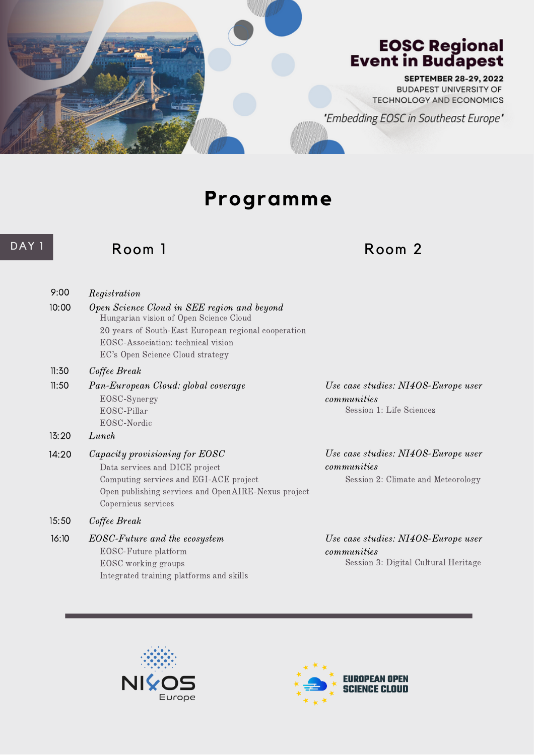

## **Programme**

### DAY 1 Room 1 Room 2

| 9:00  | Registration                                                                                                                                                                                                            |                                                                                            |
|-------|-------------------------------------------------------------------------------------------------------------------------------------------------------------------------------------------------------------------------|--------------------------------------------------------------------------------------------|
| 10:00 | Open Science Cloud in SEE region and beyond<br>Hungarian vision of Open Science Cloud<br>20 years of South-East European regional cooperation<br>EOSC-Association: technical vision<br>EC's Open Science Cloud strategy |                                                                                            |
| 11:30 | Coffee Break                                                                                                                                                                                                            |                                                                                            |
| 11:50 | Pan-European Cloud: global coverage<br>EOSC-Synergy<br>EOSC-Pillar<br>EOSC-Nordic                                                                                                                                       | Use case studies: NI4OS-Europe user<br>communities<br>Session 1: Life Sciences             |
| 13:20 | Lunch                                                                                                                                                                                                                   |                                                                                            |
| 14:20 | Capacity provisioning for EOSC<br>Data services and DICE project<br>Computing services and EGI-ACE project<br>Open publishing services and OpenAIRE-Nexus project<br>Copernicus services                                | Use case studies: NI4OS-Europe user<br>communities<br>Session 2: Climate and Meteorology   |
| 15:50 | Coffee Break                                                                                                                                                                                                            |                                                                                            |
| 16:10 | EOSC-Future and the ecosystem<br>EOSC-Future platform<br>EOSC working groups<br>Integrated training platforms and skills                                                                                                | Use case studies: NI4OS-Europe user<br>communities<br>Session 3: Digital Cultural Heritage |